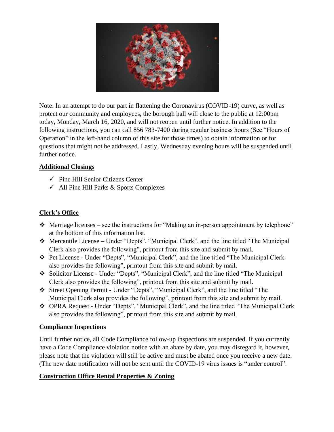

Note: In an attempt to do our part in flattening the Coronavirus (COVID-19) curve, as well as protect our community and employees, the borough hall will close to the public at 12:00pm today, Monday, March 16, 2020, and will not reopen until further notice. In addition to the following instructions, you can call 856 783-7400 during regular business hours (See "Hours of Operation" in the left-hand column of this site for those times) to obtain information or for questions that might not be addressed. Lastly, Wednesday evening hours will be suspended until further notice.

### **Additional Closings**

- $\checkmark$  Pine Hill Senior Citizens Center
- $\checkmark$  All Pine Hill Parks & Sports Complexes

# **Clerk's Office**

- ❖ Marriage licenses see the instructions for "Making an in-person appointment by telephone" at the bottom of this information list.
- ❖ Mercantile License Under "Depts", "Municipal Clerk", and the line titled "The Municipal Clerk also provides the following", printout from this site and submit by mail.
- ❖ Pet License Under "Depts", "Municipal Clerk", and the line titled "The Municipal Clerk also provides the following", printout from this site and submit by mail.
- ❖ Solicitor License Under "Depts", "Municipal Clerk", and the line titled "The Municipal Clerk also provides the following", printout from this site and submit by mail.
- ❖ Street Opening Permit Under "Depts", "Municipal Clerk", and the line titled "The Municipal Clerk also provides the following", printout from this site and submit by mail.
- ❖ OPRA Request Under "Depts", "Municipal Clerk", and the line titled "The Municipal Clerk also provides the following", printout from this site and submit by mail.

### **Compliance Inspections**

Until further notice, all Code Compliance follow-up inspections are suspended. If you currently have a Code Compliance violation notice with an abate by date, you may disregard it, however, please note that the violation will still be active and must be abated once you receive a new date. (The new date notification will not be sent until the COVID-19 virus issues is "under control".

# **Construction Office Rental Properties & Zoning**